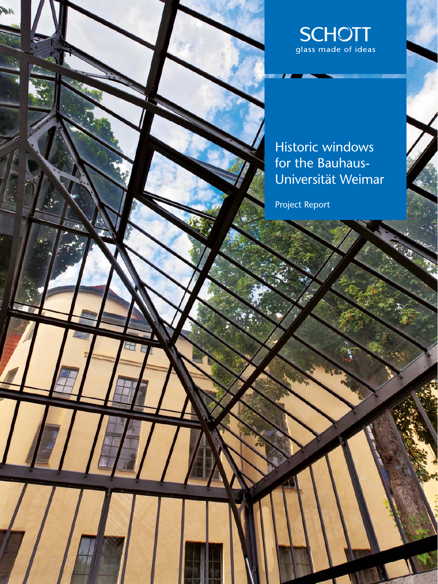

Historic windows for the Bauhaus-Universität Weimar

Project Report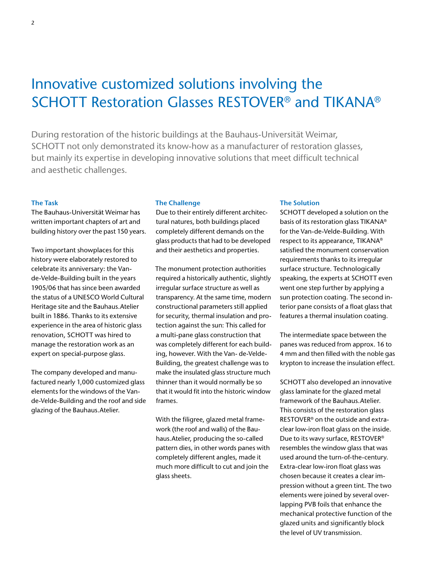# Innovative customized solutions involving the SCHOTT Restoration Glasses RESTOVER® and TIKANA®

During restoration of the historic buildings at the Bauhaus-Universität Weimar, SCHOTT not only demonstrated its know-how as a manufacturer of restoration glasses, but mainly its expertise in developing innovative solutions that meet difficult technical and aesthetic challenges.

### **The Task**

The Bauhaus-Universität Weimar has written important chapters of art and building history over the past 150 years.

Two important showplaces for this history were elaborately restored to celebrate its anniversary: the Vande-Velde-Building built in the years 1905/06 that has since been awarded the status of a UNESCO World Cultural Heritage site and the Bauhaus.Atelier built in 1886. Thanks to its extensive experience in the area of historic glass renovation, SCHOTT was hired to manage the restoration work as an expert on special-purpose glass.

The company developed and manufactured nearly 1,000 customized glass elements for the windows of the Vande-Velde-Building and the roof and side glazing of the Bauhaus.Atelier.

#### **The Challenge**

Due to their entirely different architectural natures, both buildings placed completely different demands on the glass products that had to be developed and their aesthetics and properties.

The monument protection authorities required a historically authentic, slightly irregular surface structure as well as transparency. At the same time, modern constructional parameters still applied for security, thermal insulation and protection against the sun: This called for a multi-pane glass construction that was completely different for each building, however. With the Van- de-Velde-Building, the greatest challenge was to make the insulated glass structure much thinner than it would normally be so that it would fit into the historic window frames.

With the filigree, glazed metal framework (the roof and walls) of the Bauhaus.Atelier, producing the so-called pattern dies, in other words panes with completely different angles, made it much more difficult to cut and join the glass sheets.

#### **The Solution**

SCHOTT developed a solution on the basis of its restoration glass TIKANA® for the Van-de-Velde-Building. With respect to its appearance, TIKANA® satisfied the monument conservation requirements thanks to its irregular surface structure. Technologically speaking, the experts at SCHOTT even went one step further by applying a sun protection coating. The second interior pane consists of a float glass that features a thermal insulation coating.

The intermediate space between the panes was reduced from approx. 16 to 4 mm and then filled with the noble gas krypton to increase the insulation effect.

SCHOTT also developed an innovative glass laminate for the glazed metal framework of the Bauhaus.Atelier. This consists of the restoration glass RESTOVER® on the outside and extraclear low-iron float glass on the inside. Due to its wavy surface, RESTOVER® resembles the window glass that was used around the turn-of-the-century. Extra-clear low-iron float glass was chosen because it creates a clear impression without a green tint. The two elements were joined by several overlapping PVB foils that enhance the mechanical protective function of the glazed units and significantly block the level of UV transmission.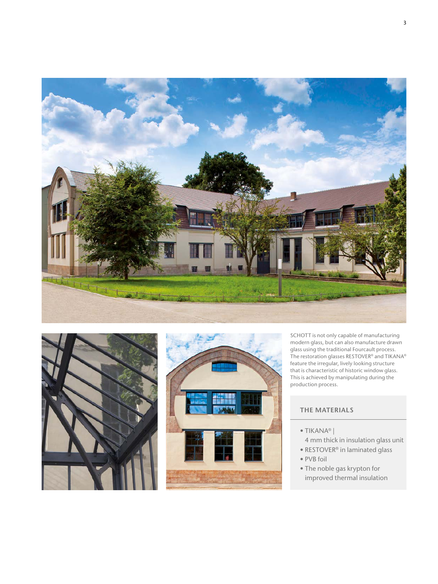





SCHOTT is not only capable of manufacturing modern glass, but can also manufacture drawn glass using the traditional Fourcault process. The restoration glasses RESTOVER® and TIKANA® feature the irregular, lively looking structure that is characteristic of historic window glass. This is achieved by manipulating during the production process.

## **THE MATERIALS**

- TIKANA® |
- 4 mm thick in insulation glass unit
- RESTOVER® in laminated glass • PVB foil
- The noble gas krypton for improved thermal insulation